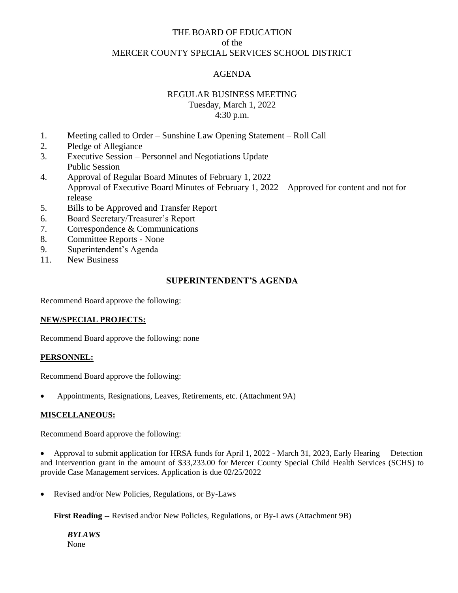# THE BOARD OF EDUCATION of the MERCER COUNTY SPECIAL SERVICES SCHOOL DISTRICT

# AGENDA

# REGULAR BUSINESS MEETING

Tuesday, March 1, 2022 4:30 p.m.

- 1. Meeting called to Order Sunshine Law Opening Statement Roll Call
- 2. Pledge of Allegiance
- 3. Executive Session Personnel and Negotiations Update Public Session
- 4. Approval of Regular Board Minutes of February 1, 2022 Approval of Executive Board Minutes of February 1, 2022 – Approved for content and not for release
- 5. Bills to be Approved and Transfer Report
- 6. Board Secretary/Treasurer's Report
- 7. Correspondence & Communications
- 8. Committee Reports None
- 9. Superintendent's Agenda
- 11. New Business

### **SUPERINTENDENT'S AGENDA**

Recommend Board approve the following:

#### **NEW/SPECIAL PROJECTS:**

Recommend Board approve the following: none

#### **PERSONNEL:**

Recommend Board approve the following:

• Appointments, Resignations, Leaves, Retirements, etc. (Attachment 9A)

#### **MISCELLANEOUS:**

Recommend Board approve the following:

Approval to submit application for HRSA funds for April 1, 2022 - March 31, 2023, Early Hearing Detection and Intervention grant in the amount of \$33,233.00 for Mercer County Special Child Health Services (SCHS) to provide Case Management services. Application is due 02/25/2022

• Revised and/or New Policies, Regulations, or By-Laws

**First Reading** -- Revised and/or New Policies, Regulations, or By-Laws (Attachment 9B)

*BYLAWS* None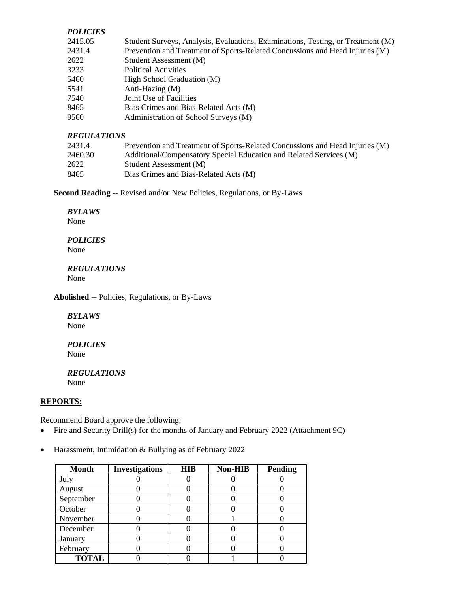#### *POLICIES*

| 2415.05 | Student Surveys, Analysis, Evaluations, Examinations, Testing, or Treatment (M) |
|---------|---------------------------------------------------------------------------------|
| 2431.4  | Prevention and Treatment of Sports-Related Concussions and Head Injuries (M)    |
| 2622    | Student Assessment (M)                                                          |
| 3233    | <b>Political Activities</b>                                                     |
| 5460    | High School Graduation (M)                                                      |
| 5541    | Anti-Hazing (M)                                                                 |
| 7540    | Joint Use of Facilities                                                         |
| 8465    | Bias Crimes and Bias-Related Acts (M)                                           |
| 9560    | Administration of School Surveys (M)                                            |

### *REGULATIONS*

| 2431.4  | Prevention and Treatment of Sports-Related Concussions and Head Injuries (M) |
|---------|------------------------------------------------------------------------------|
| 2460.30 | Additional/Compensatory Special Education and Related Services (M)           |
| 2622    | Student Assessment (M)                                                       |
| 8465    | Bias Crimes and Bias-Related Acts (M)                                        |

**Second Reading** -- Revised and/or New Policies, Regulations, or By-Laws

### *BYLAWS*

None

#### *POLICIES* None

### *REGULATIONS*

None

**Abolished** -- Policies, Regulations, or By-Laws

#### *BYLAWS*

None

# *POLICIES*

None

#### *REGULATIONS* None

**REPORTS:**

Recommend Board approve the following:

- Fire and Security Drill(s) for the months of January and February 2022 (Attachment 9C)
- Harassment, Intimidation & Bullying as of February 2022

| <b>Month</b> | <b>Investigations</b> | <b>HIB</b> | Non-HIB | <b>Pending</b> |
|--------------|-----------------------|------------|---------|----------------|
| July         |                       |            |         |                |
| August       |                       |            |         |                |
| September    |                       |            |         |                |
| October      |                       |            |         |                |
| November     |                       |            |         |                |
| December     |                       |            |         |                |
| January      |                       |            |         |                |
| February     |                       |            |         |                |
| <b>TOTAL</b> |                       |            |         |                |